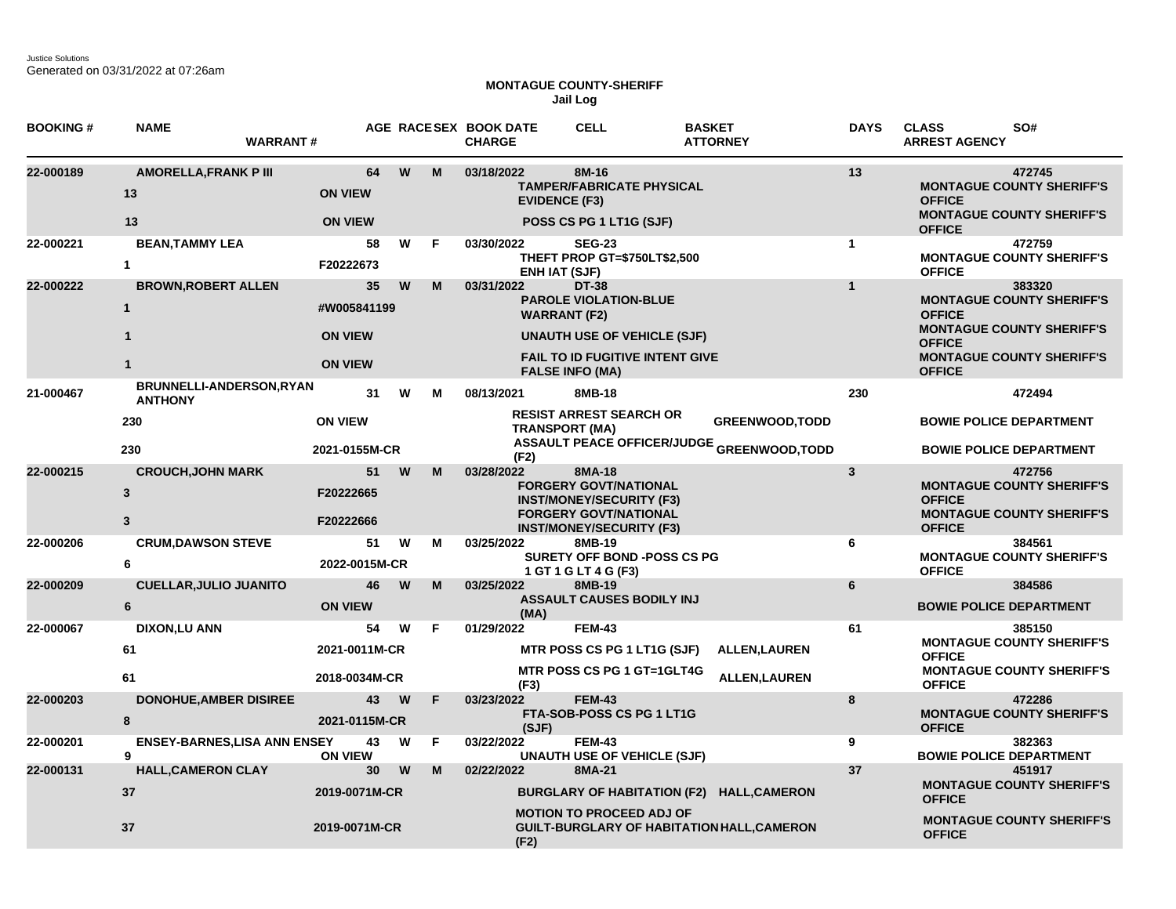Justice Solutions Generated on 03/31/2022 at 07:26am

## **MONTAGUE COUNTY-SHERIFF Jail Log**

| <b>BOOKING#</b> | <b>NAME</b><br><b>WARRANT#</b>             |                                        |          |    | AGE RACESEX BOOK DATE<br><b>CHARGE</b> | <b>CELL</b>                                                                                     | <b>BASKET</b><br><b>ATTORNEY</b>                  | <b>DAYS</b>  | SO#<br><b>CLASS</b><br><b>ARREST AGENCY</b>                                                     |  |
|-----------------|--------------------------------------------|----------------------------------------|----------|----|----------------------------------------|-------------------------------------------------------------------------------------------------|---------------------------------------------------|--------------|-------------------------------------------------------------------------------------------------|--|
| 22-000189       | <b>AMORELLA, FRANK P III</b><br>13<br>13   | 64<br><b>ON VIEW</b><br><b>ON VIEW</b> | W        | M  | 03/18/2022<br><b>EVIDENCE (F3)</b>     | 8M-16<br><b>TAMPER/FABRICATE PHYSICAL</b><br>POSS CS PG 1 LT1G (SJF)                            |                                                   | 13           | 472745<br><b>MONTAGUE COUNTY SHERIFF'S</b><br><b>OFFICE</b><br><b>MONTAGUE COUNTY SHERIFF'S</b> |  |
|                 |                                            |                                        |          |    |                                        |                                                                                                 |                                                   |              | <b>OFFICE</b>                                                                                   |  |
| 22-000221       | <b>BEAN, TAMMY LEA</b><br>$\mathbf{1}$     | 58<br>F20222673                        | W        | F  | 03/30/2022<br><b>ENH IAT (SJF)</b>     | <b>SEG-23</b><br>THEFT PROP GT=\$750LT\$2,500                                                   |                                                   | $\mathbf{1}$ | 472759<br><b>MONTAGUE COUNTY SHERIFF'S</b><br><b>OFFICE</b>                                     |  |
| 22-000222       | <b>BROWN, ROBERT ALLEN</b>                 | 35 <sub>5</sub>                        | W        | M  | 03/31/2022                             | <b>DT-38</b>                                                                                    |                                                   | $\mathbf{1}$ | 383320                                                                                          |  |
|                 | $\mathbf{1}$                               | #W005841199                            |          |    | <b>WARRANT (F2)</b>                    | <b>PAROLE VIOLATION-BLUE</b>                                                                    |                                                   |              | <b>MONTAGUE COUNTY SHERIFF'S</b><br><b>OFFICE</b><br><b>MONTAGUE COUNTY SHERIFF'S</b>           |  |
|                 | $\mathbf{1}$                               | <b>ON VIEW</b>                         |          |    |                                        | <b>UNAUTH USE OF VEHICLE (SJF)</b>                                                              |                                                   |              | <b>OFFICE</b>                                                                                   |  |
|                 | $\mathbf{1}$                               | <b>ON VIEW</b>                         |          |    |                                        | <b>FAIL TO ID FUGITIVE INTENT GIVE</b><br><b>FALSE INFO (MA)</b>                                |                                                   |              | <b>MONTAGUE COUNTY SHERIFF'S</b><br><b>OFFICE</b>                                               |  |
| 21-000467       | BRUNNELLI-ANDERSON, RYAN<br><b>ANTHONY</b> | 31                                     | W        | м  | 08/13/2021                             | 8MB-18                                                                                          |                                                   | 230          | 472494                                                                                          |  |
|                 | 230                                        | <b>ON VIEW</b>                         |          |    | <b>TRANSPORT (MA)</b>                  | <b>RESIST ARREST SEARCH OR</b>                                                                  | <b>GREENWOOD, TODD</b>                            |              | <b>BOWIE POLICE DEPARTMENT</b>                                                                  |  |
|                 | 230                                        | 2021-0155M-CR                          |          |    | (F2)                                   |                                                                                                 | <b>ASSAULT PEACE OFFICER/JUDGE GREENWOOD,TODD</b> |              | <b>BOWIE POLICE DEPARTMENT</b>                                                                  |  |
| 22-000215       | <b>CROUCH, JOHN MARK</b>                   | 51                                     | W        | M  | 03/28/2022                             | 8MA-18                                                                                          |                                                   | $\mathbf{3}$ | 472756                                                                                          |  |
|                 | $\mathbf{3}$                               | F20222665                              |          |    |                                        | <b>FORGERY GOVT/NATIONAL</b><br><b>INST/MONEY/SECURITY (F3)</b><br><b>FORGERY GOVT/NATIONAL</b> |                                                   |              | <b>MONTAGUE COUNTY SHERIFF'S</b><br><b>OFFICE</b><br><b>MONTAGUE COUNTY SHERIFF'S</b>           |  |
|                 | 3                                          | F20222666                              |          |    |                                        | <b>INST/MONEY/SECURITY (F3)</b>                                                                 |                                                   |              | <b>OFFICE</b>                                                                                   |  |
| 22-000206       | <b>CRUM, DAWSON STEVE</b><br>6             | 51<br>2022-0015M-CR                    | W        | м  | 03/25/2022                             | 8MB-19<br><b>SURETY OFF BOND -POSS CS PG</b><br>1 GT 1 G LT 4 G (F3)                            |                                                   | 6            | 384561<br><b>MONTAGUE COUNTY SHERIFF'S</b><br><b>OFFICE</b>                                     |  |
| 22-000209       | <b>CUELLAR, JULIO JUANITO</b>              | 46                                     | W        | M  | 03/25/2022                             | 8MB-19                                                                                          |                                                   | 6            | 384586                                                                                          |  |
|                 | $6\phantom{a}$                             | <b>ON VIEW</b>                         |          |    | (MA)                                   | <b>ASSAULT CAUSES BODILY INJ</b>                                                                |                                                   |              | <b>BOWIE POLICE DEPARTMENT</b>                                                                  |  |
| 22-000067       | <b>DIXON,LU ANN</b>                        | 54                                     | W        | F  | 01/29/2022                             | <b>FEM-43</b>                                                                                   |                                                   | 61           | 385150                                                                                          |  |
|                 | 61                                         | 2021-0011M-CR                          |          |    |                                        | <b>MTR POSS CS PG 1 LT1G (SJF)</b>                                                              | <b>ALLEN, LAUREN</b>                              |              | <b>MONTAGUE COUNTY SHERIFF'S</b><br><b>OFFICE</b>                                               |  |
|                 | 61                                         | 2018-0034M-CR                          |          |    | (F3)                                   | MTR POSS CS PG 1 GT=1GLT4G                                                                      | <b>ALLEN, LAUREN</b>                              |              | <b>MONTAGUE COUNTY SHERIFF'S</b><br><b>OFFICE</b>                                               |  |
| 22-000203       | <b>DONOHUE, AMBER DISIREE</b><br>8         | 43<br>2021-0115M-CR                    | <b>W</b> | F  | 03/23/2022<br>(SJF)                    | <b>FEM-43</b><br>FTA-SOB-POSS CS PG 1 LT1G                                                      |                                                   | 8            | 472286<br><b>MONTAGUE COUNTY SHERIFF'S</b><br><b>OFFICE</b>                                     |  |
| 22-000201       | <b>ENSEY-BARNES, LISA ANN ENSEY</b><br>9   | 43<br><b>ON VIEW</b>                   | W        | F. | 03/22/2022                             | <b>FEM-43</b><br><b>UNAUTH USE OF VEHICLE (SJF)</b>                                             |                                                   | 9            | 382363<br><b>BOWIE POLICE DEPARTMENT</b>                                                        |  |
| 22-000131       | <b>HALL, CAMERON CLAY</b>                  | 30                                     | W        | M  | 02/22/2022                             | 8MA-21                                                                                          |                                                   | 37           | 451917                                                                                          |  |
|                 | 37                                         | 2019-0071M-CR                          |          |    |                                        |                                                                                                 | BURGLARY OF HABITATION (F2) HALL, CAMERON         |              | <b>MONTAGUE COUNTY SHERIFF'S</b><br><b>OFFICE</b>                                               |  |
|                 | 37                                         | 2019-0071M-CR                          |          |    | (F2)                                   | <b>MOTION TO PROCEED ADJ OF</b>                                                                 | <b>GUILT-BURGLARY OF HABITATION HALL, CAMERON</b> |              | <b>MONTAGUE COUNTY SHERIFF'S</b><br><b>OFFICE</b>                                               |  |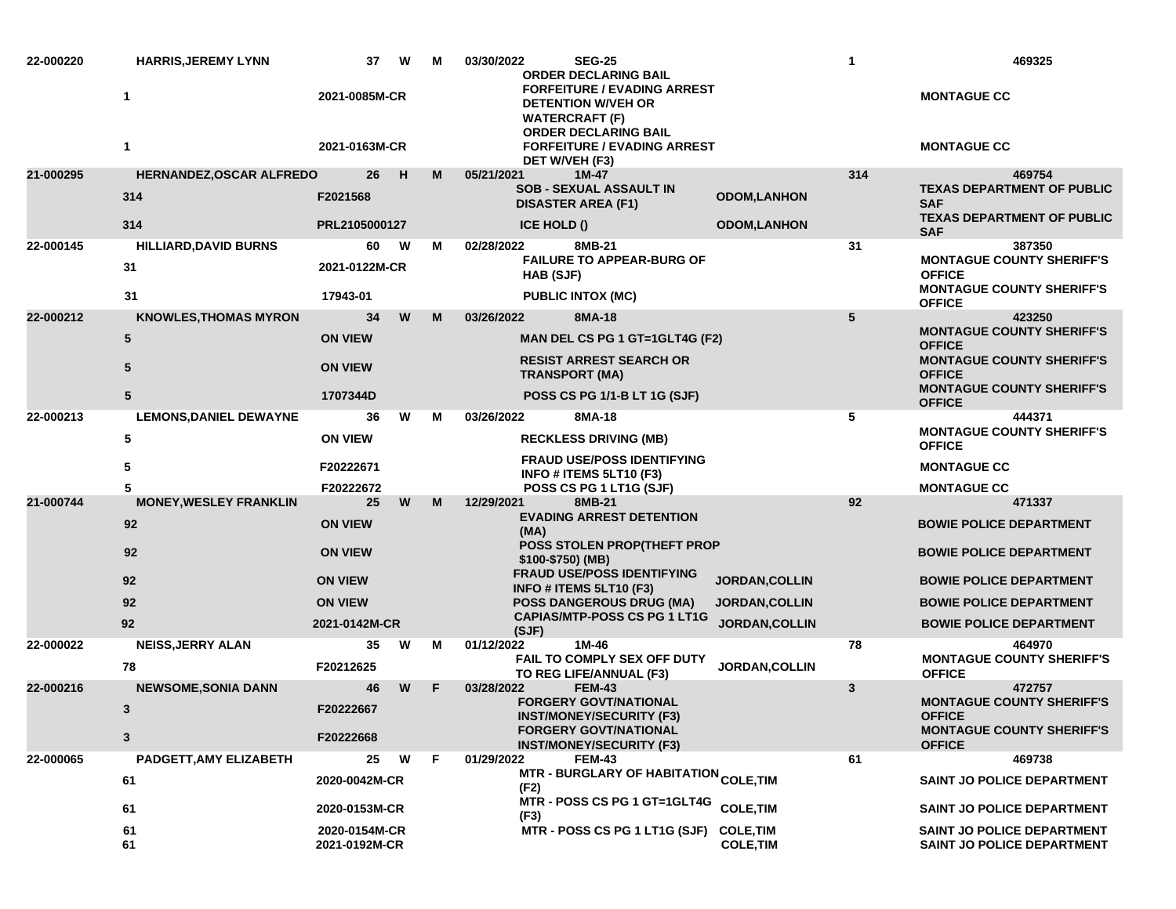| 22-000220 | <b>HARRIS, JEREMY LYNN</b><br>1 | 37<br>2021-0085M-CR            | W | M | 03/30/2022<br><b>SEG-25</b><br><b>ORDER DECLARING BAIL</b><br><b>FORFEITURE / EVADING ARREST</b><br><b>DETENTION W/VEH OR</b> |                       | $\mathbf{1}$ | 469325<br><b>MONTAGUE CC</b>                                           |
|-----------|---------------------------------|--------------------------------|---|---|-------------------------------------------------------------------------------------------------------------------------------|-----------------------|--------------|------------------------------------------------------------------------|
|           |                                 |                                |   |   | <b>WATERCRAFT (F)</b><br><b>ORDER DECLARING BAIL</b>                                                                          |                       |              |                                                                        |
|           | 1                               | 2021-0163M-CR                  |   |   | <b>FORFEITURE / EVADING ARREST</b><br>DET W/VEH (F3)                                                                          |                       |              | <b>MONTAGUE CC</b>                                                     |
| 21-000295 | HERNANDEZ, OSCAR ALFREDO        | 26                             | H | М | 05/21/2021<br>1M-47<br><b>SOB - SEXUAL ASSAULT IN</b>                                                                         |                       | 314          | 469754<br><b>TEXAS DEPARTMENT OF PUBLIC</b>                            |
|           | 314                             | F2021568                       |   |   | <b>DISASTER AREA (F1)</b>                                                                                                     | <b>ODOM,LANHON</b>    |              | <b>SAF</b><br><b>TEXAS DEPARTMENT OF PUBLIC</b>                        |
|           | 314                             | PRL2105000127                  |   |   | ICE HOLD ()                                                                                                                   | <b>ODOM,LANHON</b>    |              | <b>SAF</b>                                                             |
| 22-000145 | <b>HILLIARD, DAVID BURNS</b>    | 60                             | w | м | 8MB-21<br>02/28/2022<br><b>FAILURE TO APPEAR-BURG OF</b>                                                                      |                       | 31           | 387350<br><b>MONTAGUE COUNTY SHERIFF'S</b>                             |
|           | 31                              | 2021-0122M-CR                  |   |   | HAB (SJF)                                                                                                                     |                       |              | <b>OFFICE</b>                                                          |
|           | 31                              | 17943-01                       |   |   | <b>PUBLIC INTOX (MC)</b>                                                                                                      |                       |              | <b>MONTAGUE COUNTY SHERIFF'S</b><br><b>OFFICE</b>                      |
| 22-000212 | <b>KNOWLES, THOMAS MYRON</b>    | 34                             | W | M | 8MA-18<br>03/26/2022                                                                                                          |                       | 5            | 423250                                                                 |
|           | 5                               | <b>ON VIEW</b>                 |   |   | MAN DEL CS PG 1 GT=1GLT4G (F2)                                                                                                |                       |              | <b>MONTAGUE COUNTY SHERIFF'S</b><br><b>OFFICE</b>                      |
|           | 5                               | <b>ON VIEW</b>                 |   |   | <b>RESIST ARREST SEARCH OR</b><br><b>TRANSPORT (MA)</b>                                                                       |                       |              | <b>MONTAGUE COUNTY SHERIFF'S</b><br><b>OFFICE</b>                      |
|           | 5                               | 1707344D                       |   |   | POSS CS PG 1/1-B LT 1G (SJF)                                                                                                  |                       |              | <b>MONTAGUE COUNTY SHERIFF'S</b><br><b>OFFICE</b>                      |
| 22-000213 | <b>LEMONS, DANIEL DEWAYNE</b>   | 36                             | w | м | 03/26/2022<br>8MA-18                                                                                                          |                       | 5            | 444371                                                                 |
|           | 5                               | <b>ON VIEW</b>                 |   |   | <b>RECKLESS DRIVING (MB)</b>                                                                                                  |                       |              | <b>MONTAGUE COUNTY SHERIFF'S</b><br><b>OFFICE</b>                      |
|           | 5                               | F20222671                      |   |   | <b>FRAUD USE/POSS IDENTIFYING</b><br>INFO # ITEMS 5LT10 (F3)                                                                  |                       |              | <b>MONTAGUE CC</b>                                                     |
|           | 5                               | F20222672                      |   |   | POSS CS PG 1 LT1G (SJF)                                                                                                       |                       |              | <b>MONTAGUE CC</b>                                                     |
| 21-000744 | <b>MONEY, WESLEY FRANKLIN</b>   | 25                             | W | М | 12/29/2021<br>8MB-21<br><b>EVADING ARREST DETENTION</b>                                                                       |                       | 92           | 471337                                                                 |
|           | 92                              | <b>ON VIEW</b>                 |   |   | (MA)                                                                                                                          |                       |              | <b>BOWIE POLICE DEPARTMENT</b>                                         |
|           | 92                              | <b>ON VIEW</b>                 |   |   | <b>POSS STOLEN PROP(THEFT PROP</b><br>\$100-\$750) (MB)<br><b>FRAUD USE/POSS IDENTIFYING</b>                                  |                       |              | <b>BOWIE POLICE DEPARTMENT</b>                                         |
|           | 92                              | <b>ON VIEW</b>                 |   |   | INFO # ITEMS 5LT10 (F3)                                                                                                       | <b>JORDAN, COLLIN</b> |              | <b>BOWIE POLICE DEPARTMENT</b>                                         |
|           | 92                              | <b>ON VIEW</b>                 |   |   | <b>POSS DANGEROUS DRUG (MA)</b>                                                                                               | <b>JORDAN, COLLIN</b> |              | <b>BOWIE POLICE DEPARTMENT</b>                                         |
|           | 92                              | 2021-0142M-CR                  |   |   | <b>CAPIAS/MTP-POSS CS PG 1 LT1G</b><br>(SJF)                                                                                  | <b>JORDAN, COLLIN</b> |              | <b>BOWIE POLICE DEPARTMENT</b>                                         |
| 22-000022 | <b>NEISS, JERRY ALAN</b>        | 35                             | W | м | 01/12/2022<br>1M-46                                                                                                           |                       | 78           | 464970                                                                 |
|           | 78                              | F20212625                      |   |   | FAIL TO COMPLY SEX OFF DUTY<br>TO REG LIFE/ANNUAL (F3)                                                                        | JORDAN, COLLIN        |              | <b>MONTAGUE COUNTY SHERIFF'S</b><br><b>OFFICE</b>                      |
| 22-000216 | <b>NEWSOME, SONIA DANN</b>      | 46                             | W | E | 03/28/2022<br><b>FEM-43</b><br><b>FORGERY GOVT/NATIONAL</b>                                                                   |                       | 3            | 472757<br><b>MONTAGUE COUNTY SHERIFF'S</b>                             |
|           | 3                               | F20222667                      |   |   | <b>INST/MONEY/SECURITY (F3)</b>                                                                                               |                       |              | <b>OFFICE</b>                                                          |
|           | $\mathbf{3}$                    | F20222668                      |   |   | <b>FORGERY GOVT/NATIONAL</b><br><b>INST/MONEY/SECURITY (F3)</b>                                                               |                       |              | <b>MONTAGUE COUNTY SHERIFF'S</b><br><b>OFFICE</b>                      |
| 22-000065 | PADGETT, AMY ELIZABETH          | 25                             | W | F | 01/29/2022<br><b>FEM-43</b>                                                                                                   |                       | 61           | 469738                                                                 |
|           | 61                              | 2020-0042M-CR                  |   |   | MTR - BURGLARY OF HABITATION <sub>COLE,</sub> TIM<br>(F2)                                                                     |                       |              | <b>SAINT JO POLICE DEPARTMENT</b>                                      |
|           | 61                              | 2020-0153M-CR                  |   |   | MTR - POSS CS PG 1 GT=1GLT4G<br>(F3)                                                                                          | <b>COLE, TIM</b>      |              | <b>SAINT JO POLICE DEPARTMENT</b>                                      |
|           | 61<br>61                        | 2020-0154M-CR<br>2021-0192M-CR |   |   | MTR - POSS CS PG 1 LT1G (SJF) COLE, TIM                                                                                       | <b>COLE, TIM</b>      |              | <b>SAINT JO POLICE DEPARTMENT</b><br><b>SAINT JO POLICE DEPARTMENT</b> |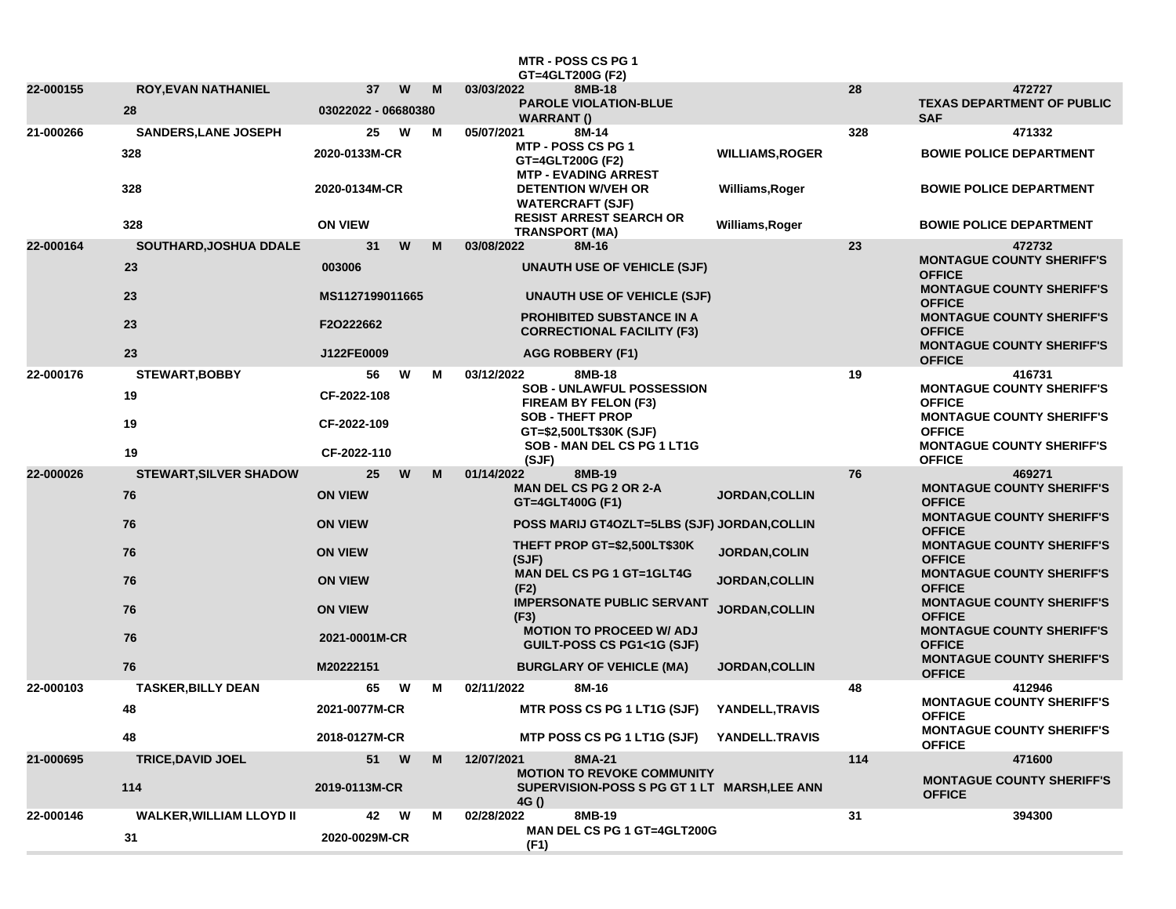|           |                                 |                                |   | <b>MTR - POSS CS PG 1</b><br>GT=4GLT200G (F2)                                          |                        |     |                                                                                       |
|-----------|---------------------------------|--------------------------------|---|----------------------------------------------------------------------------------------|------------------------|-----|---------------------------------------------------------------------------------------|
| 22-000155 | <b>ROY, EVAN NATHANIEL</b>      | W<br>37                        | M | 03/03/2022<br>8MB-18                                                                   |                        | 28  | 472727                                                                                |
|           | 28                              | 03022022 - 06680380            |   | <b>PAROLE VIOLATION-BLUE</b><br><b>WARRANT ()</b>                                      |                        |     | <b>TEXAS DEPARTMENT OF PUBLIC</b><br><b>SAF</b>                                       |
| 21-000266 | <b>SANDERS, LANE JOSEPH</b>     | 25<br>W                        | м | 05/07/2021<br>8M-14                                                                    |                        | 328 | 471332                                                                                |
|           | 328                             | 2020-0133M-CR<br>2020-0134M-CR |   | MTP - POSS CS PG 1<br>GT=4GLT200G (F2)<br><b>MTP - EVADING ARREST</b>                  | <b>WILLIAMS, ROGER</b> |     | <b>BOWIE POLICE DEPARTMENT</b>                                                        |
|           | 328                             |                                |   | <b>DETENTION W/VEH OR</b><br><b>WATERCRAFT (SJF)</b><br><b>RESIST ARREST SEARCH OR</b> | Williams, Roger        |     | <b>BOWIE POLICE DEPARTMENT</b>                                                        |
|           | 328                             | <b>ON VIEW</b>                 |   | <b>TRANSPORT (MA)</b>                                                                  | Williams, Roger        |     | <b>BOWIE POLICE DEPARTMENT</b>                                                        |
| 22-000164 | SOUTHARD, JOSHUA DDALE          | 31<br>W                        | M | 8M-16<br>03/08/2022                                                                    |                        | 23  | 472732<br><b>MONTAGUE COUNTY SHERIFF'S</b>                                            |
|           | 23                              | 003006                         |   | <b>UNAUTH USE OF VEHICLE (SJF)</b>                                                     |                        |     | <b>OFFICE</b><br><b>MONTAGUE COUNTY SHERIFF'S</b>                                     |
|           | 23                              | MS1127199011665                |   | <b>UNAUTH USE OF VEHICLE (SJF)</b>                                                     |                        |     | <b>OFFICE</b>                                                                         |
|           | 23                              | F2O222662                      |   | <b>PROHIBITED SUBSTANCE IN A</b><br><b>CORRECTIONAL FACILITY (F3)</b>                  |                        |     | <b>MONTAGUE COUNTY SHERIFF'S</b><br><b>OFFICE</b><br><b>MONTAGUE COUNTY SHERIFF'S</b> |
|           | 23                              | J122FE0009                     |   | AGG ROBBERY (F1)                                                                       |                        |     | <b>OFFICE</b>                                                                         |
| 22-000176 | STEWART, BOBBY                  | 56<br>W                        | м | 03/12/2022<br>8MB-18<br><b>SOB - UNLAWFUL POSSESSION</b>                               |                        | 19  | 416731<br><b>MONTAGUE COUNTY SHERIFF'S</b>                                            |
|           | 19                              | CF-2022-108                    |   | FIREAM BY FELON (F3)                                                                   |                        |     | <b>OFFICE</b>                                                                         |
|           | 19                              | CF-2022-109                    |   | <b>SOB - THEFT PROP</b><br>GT=\$2,500LT\$30K (SJF)                                     |                        |     | <b>MONTAGUE COUNTY SHERIFF'S</b><br><b>OFFICE</b>                                     |
|           | 19                              | CF-2022-110                    |   | SOB - MAN DEL CS PG 1 LT1G<br>(SJF)                                                    |                        |     | <b>MONTAGUE COUNTY SHERIFF'S</b><br><b>OFFICE</b>                                     |
| 22-000026 | <b>STEWART, SILVER SHADOW</b>   | $25\,$<br>W                    | M | 8MB-19<br>01/14/2022<br><b>MAN DEL CS PG 2 OR 2-A</b>                                  |                        | 76  | 469271<br><b>MONTAGUE COUNTY SHERIFF'S</b>                                            |
|           | 76                              | <b>ON VIEW</b>                 |   | GT=4GLT400G (F1)                                                                       | <b>JORDAN, COLLIN</b>  |     | <b>OFFICE</b>                                                                         |
|           | 76                              | <b>ON VIEW</b>                 |   | POSS MARIJ GT4OZLT=5LBS (SJF) JORDAN, COLLIN                                           |                        |     | <b>MONTAGUE COUNTY SHERIFF'S</b><br><b>OFFICE</b>                                     |
|           | 76                              | <b>ON VIEW</b>                 |   | THEFT PROP GT=\$2,500LT\$30K<br>(SJF)                                                  | JORDAN, COLIN          |     | <b>MONTAGUE COUNTY SHERIFF'S</b><br><b>OFFICE</b>                                     |
|           | 76                              | <b>ON VIEW</b>                 |   | <b>MAN DEL CS PG 1 GT=1GLT4G</b><br>(F2)                                               | JORDAN, COLLIN         |     | <b>MONTAGUE COUNTY SHERIFF'S</b><br><b>OFFICE</b>                                     |
|           | 76                              | <b>ON VIEW</b>                 |   | <b>IMPERSONATE PUBLIC SERVANT</b><br>(F3)                                              | JORDAN, COLLIN         |     | <b>MONTAGUE COUNTY SHERIFF'S</b><br><b>OFFICE</b>                                     |
|           | 76                              | 2021-0001M-CR                  |   | <b>MOTION TO PROCEED W/ ADJ</b><br>GUILT-POSS CS PG1<1G (SJF)                          |                        |     | <b>MONTAGUE COUNTY SHERIFF'S</b><br><b>OFFICE</b>                                     |
|           | 76                              | M20222151                      |   | <b>BURGLARY OF VEHICLE (MA)</b>                                                        | <b>JORDAN, COLLIN</b>  |     | <b>MONTAGUE COUNTY SHERIFF'S</b><br><b>OFFICE</b>                                     |
| 22-000103 | <b>TASKER, BILLY DEAN</b>       | 65<br>W                        | м | 02/11/2022<br>8M-16                                                                    |                        | 48  | 412946                                                                                |
|           | 48                              | 2021-0077M-CR                  |   | <b>MTR POSS CS PG 1 LT1G (SJF)</b>                                                     | YANDELL, TRAVIS        |     | <b>MONTAGUE COUNTY SHERIFF'S</b><br><b>OFFICE</b>                                     |
|           | 48                              | 2018-0127M-CR                  |   | MTP POSS CS PG 1 LT1G (SJF) YANDELL.TRAVIS                                             |                        |     | <b>MONTAGUE COUNTY SHERIFF'S</b><br><b>OFFICE</b>                                     |
| 21-000695 | <b>TRICE, DAVID JOEL</b>        | 51 W                           | M | 12/07/2021<br>8MA-21<br><b>MOTION TO REVOKE COMMUNITY</b>                              |                        | 114 | 471600                                                                                |
|           | 114                             | 2019-0113M-CR                  |   | SUPERVISION-POSS S PG GT 1 LT MARSH, LEE ANN<br>4G ()                                  |                        |     | <b>MONTAGUE COUNTY SHERIFF'S</b><br><b>OFFICE</b>                                     |
| 22-000146 | <b>WALKER, WILLIAM LLOYD II</b> | W<br>42                        | М | 8MB-19<br>02/28/2022<br>MAN DEL CS PG 1 GT=4GLT200G                                    |                        | 31  | 394300                                                                                |
|           | 31                              | 2020-0029M-CR                  |   | (F1)                                                                                   |                        |     |                                                                                       |